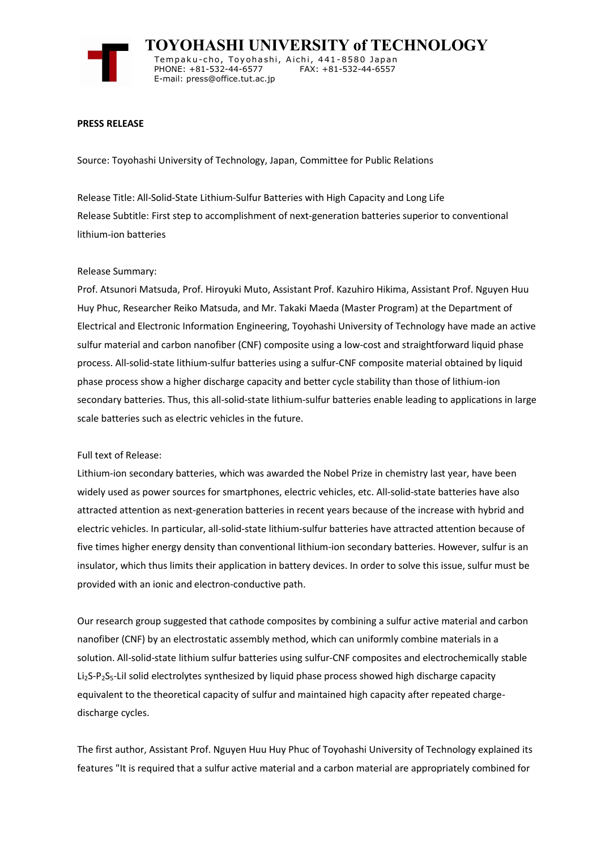

 **TOYOHASHI UNIVERSITY of TECHNOLOGY** Tempaku-cho, Toyohashi, Aichi, 441-8580 Japan<br>PHONE: +81-532-44-6577 FAX: +81-532-44-6557 PHONE: +81-532-44-6577 E-mail: press@office.tut.ac.jp

## **PRESS RELEASE**

Source: Toyohashi University of Technology, Japan, Committee for Public Relations

Release Title: All-Solid-State Lithium-Sulfur Batteries with High Capacity and Long Life Release Subtitle: First step to accomplishment of next-generation batteries superior to conventional lithium-ion batteries

## Release Summary:

Prof. Atsunori Matsuda, Prof. Hiroyuki Muto, Assistant Prof. Kazuhiro Hikima, Assistant Prof. Nguyen Huu Huy Phuc, Researcher Reiko Matsuda, and Mr. Takaki Maeda (Master Program) at the Department of Electrical and Electronic Information Engineering, Toyohashi University of Technology have made an active sulfur material and carbon nanofiber (CNF) composite using a low-cost and straightforward liquid phase process. All-solid-state lithium-sulfur batteries using a sulfur-CNF composite material obtained by liquid phase process show a higher discharge capacity and better cycle stability than those of lithium-ion secondary batteries. Thus, this all-solid-state lithium-sulfur batteries enable leading to applications in large scale batteries such as electric vehicles in the future.

Full text of Release:

Lithium-ion secondary batteries, which was awarded the Nobel Prize in chemistry last year, have been widely used as power sources for smartphones, electric vehicles, etc. All-solid-state batteries have also attracted attention as next-generation batteries in recent years because of the increase with hybrid and electric vehicles. In particular, all-solid-state lithium-sulfur batteries have attracted attention because of five times higher energy density than conventional lithium-ion secondary batteries. However, sulfur is an insulator, which thus limits their application in battery devices. In order to solve this issue, sulfur must be provided with an ionic and electron-conductive path.

Our research group suggested that cathode composites by combining a sulfur active material and carbon nanofiber (CNF) by an electrostatic assembly method, which can uniformly combine materials in a solution. All-solid-state lithium sulfur batteries using sulfur-CNF composites and electrochemically stable Li<sub>2</sub>S-P<sub>2</sub>S<sub>5</sub>-LiI solid electrolytes synthesized by liquid phase process showed high discharge capacity equivalent to the theoretical capacity of sulfur and maintained high capacity after repeated chargedischarge cycles.

The first author, Assistant Prof. Nguyen Huu Huy Phuc of Toyohashi University of Technology explained its features "It is required that a sulfur active material and a carbon material are appropriately combined for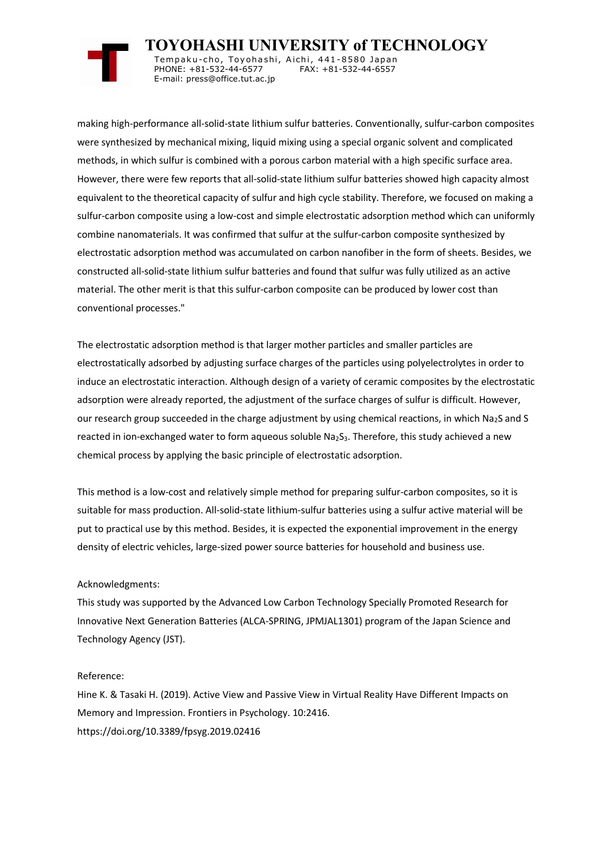

 **TOYOHASHI UNIVERSITY of TECHNOLOGY** Tempaku-cho, Toyohashi, Aichi, 441-8580 Japan<br>PHONE: +81-532-44-6577 FAX: +81-532-44-6557 PHONE: +81-532-44-6577 E-mail: press@office.tut.ac.jp

making high-performance all-solid-state lithium sulfur batteries. Conventionally, sulfur-carbon composites were synthesized by mechanical mixing, liquid mixing using a special organic solvent and complicated methods, in which sulfur is combined with a porous carbon material with a high specific surface area. However, there were few reports that all-solid-state lithium sulfur batteries showed high capacity almost equivalent to the theoretical capacity of sulfur and high cycle stability. Therefore, we focused on making a sulfur-carbon composite using a low-cost and simple electrostatic adsorption method which can uniformly combine nanomaterials. It was confirmed that sulfur at the sulfur-carbon composite synthesized by electrostatic adsorption method was accumulated on carbon nanofiber in the form of sheets. Besides, we constructed all-solid-state lithium sulfur batteries and found that sulfur was fully utilized as an active material. The other merit is that this sulfur-carbon composite can be produced by lower cost than conventional processes."

The electrostatic adsorption method is that larger mother particles and smaller particles are electrostatically adsorbed by adjusting surface charges of the particles using polyelectrolytes in order to induce an electrostatic interaction. Although design of a variety of ceramic composites by the electrostatic adsorption were already reported, the adjustment of the surface charges of sulfur is difficult. However, our research group succeeded in the charge adjustment by using chemical reactions, in which Na2S and S reacted in ion-exchanged water to form aqueous soluble Na<sub>2</sub>S<sub>3</sub>. Therefore, this study achieved a new chemical process by applying the basic principle of electrostatic adsorption.

This method is a low-cost and relatively simple method for preparing sulfur-carbon composites, so it is suitable for mass production. All-solid-state lithium-sulfur batteries using a sulfur active material will be put to practical use by this method. Besides, it is expected the exponential improvement in the energy density of electric vehicles, large-sized power source batteries for household and business use.

## Acknowledgments:

This study was supported by the Advanced Low Carbon Technology Specially Promoted Research for Innovative Next Generation Batteries (ALCA-SPRING, JPMJAL1301) program of the Japan Science and Technology Agency (JST).

## Reference:

Hine K. & Tasaki H. (2019). Active View and Passive View in Virtual Reality Have Different Impacts on Memory and Impression. Frontiers in Psychology. 10:2416. https://doi.org/10.3389/fpsyg.2019.02416